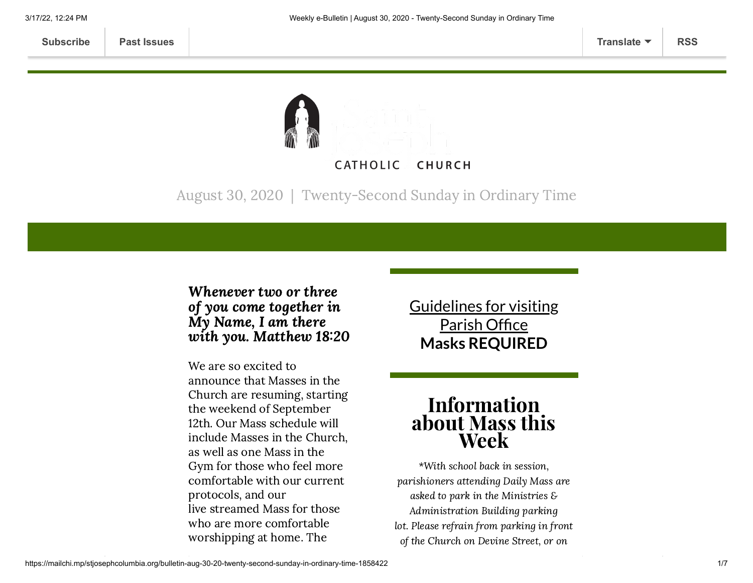

August 30, 2020 | Twenty-Second Sunday in Ordinary Time

### Whenever two or three of you come together in My Name, I am there with you. Matthew 18:20

We are so excited to announce that Masses in the Church are resuming, starting the weekend of September 12th. Our Mass schedule will include Masses in the Church, as well as one Mass in the Gym for those who feel more comfortable with our current protocols, and our live streamed Mass for those who are more comfortable worshipping at home. The

Guidelines for visiting Parish Office **Masks [REQUIRED](https://www.stjosephcolumbia.org/church-and-parish-office-hours)**

# Information about Mass this Week

\*With school back in session, parishioners attending Daily Mass are asked to park in the Ministries & Administration Building parking lot. Please refrain from parking in front of the Church on Devine Street, or on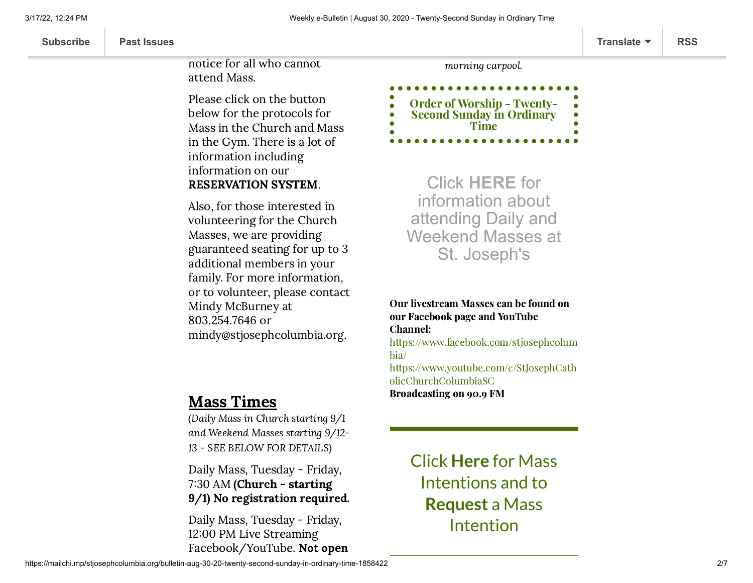| <b>Subscribe</b><br><b>Past Issues</b> | Translate $\blacktriangledown$ | <b>RSS</b> |
|----------------------------------------|--------------------------------|------------|
|----------------------------------------|--------------------------------|------------|

notice for all who cannot attend Mass.

Please click on the button below for the protocols for Mass in the Church and Mass in the Gym. There is a lot of information including information on our RESERVATION SYSTEM.

Also, for those interested in volunteering for the Church Masses, we are providing guaranteed seating for up to 3 additional members in your family. For more information, or to volunteer, please contact Mindy McBurney at 803.254.7646 or [mindy@stjosephcolumbia.org.](mailto:mindy@stjosephcolumbia.org)

## Mass Times

(Daily Mass in Church starting 9/1 and Weekend Masses starting 9/12- 13 - SEE BELOW FOR DETAILS)

Daily Mass, Tuesday - Friday, 7:30 AM (Church - starting 9/1) No registration required.

Daily Mass, Tuesday - Friday, 12:00 PM Live Streaming Facebook/YouTube. Not open morning carpool.

Order of Worship - Twenty-Second Sunday in [Ordinary](https://84aadc19-53c5-40cc-90da-b6ef66a7e382.filesusr.com/ugd/2de225_7fb0ee32501541fa8ab2b97b0c5243d2.pdf) Time

Click **[HERE](https://www.stjosephcolumbia.org/resuming-public-masses)** for information about attending Daily and Weekend Masses at St. Joseph's

Our livestream Masses can be found on our Facebook page and YouTube Channel: [https://www.facebook.com/stjosephcolum](https://www.facebook.com/stjosephcolumbia/) bia/ [https://www.youtube.com/c/StJosephCath](https://www.youtube.com/c/StJosephCatholicChurchColumbiaSC) olicChurchColumbiaSC Broadcasting on 90.9 FM

> [Click](https://www.stjosephcolumbia.org/mass-intentions) **[Here](https://www.stjosephcolumbia.org/mass-intentions)** for Mass I[ntentions and to](https://www.stjosephcolumbia.org/mass-intention-requests) **Request** a Mass Intention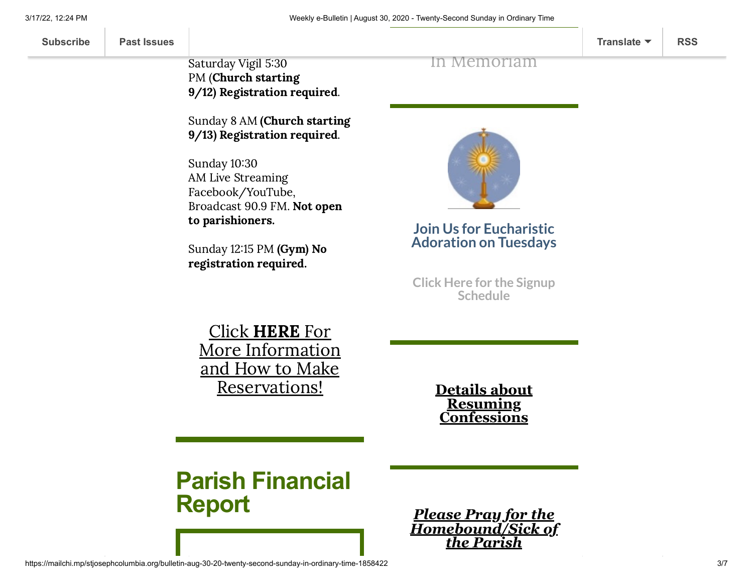| <b>Subscribe</b> | <b>Past Issues</b> |  | Translate $\blacktriangledown$ | <b>RSS</b> |
|------------------|--------------------|--|--------------------------------|------------|
|------------------|--------------------|--|--------------------------------|------------|

Saturday Vigil 5:30 PM (Church starting 9/12) Registration required.

Sunday 8 AM (Church starting 9/13) Registration required.

Sunday 10:30 AM Live Streaming Facebook/YouTube, Broadcast 90.9 FM. Not open to parishioners.

Sunday 12:15 PM (Gym) No registration required.

In [Memoriam](https://www.stjosephcolumbia.org/in-memoriam)

**Join Us for Eucharistic Adoration on Tuesdays**

**Click Here for the Signup [Schedule](https://www.signupgenius.com/go/60b0c4faea822a7fa7-eucharistic)**

Click HERE For More Information and How to Make [Reservations!](https://www.stjosephcolumbia.org/resuming-public-masses)

**Details about Resuming [Confessions](https://www.stjosephcolumbia.org/confessions)**

**Parish Financial Report**

*Please Pray for the [Homebound/Sick of](https://www.stjosephcolumbia.org/pray-for-the-homebound-sick-of-pari) the Parish*

https://mailchi.mp/stjosephcolumbia.org/bulletin-aug-30-20-twenty-second-sunday-in-ordinary-time-1858422 3/7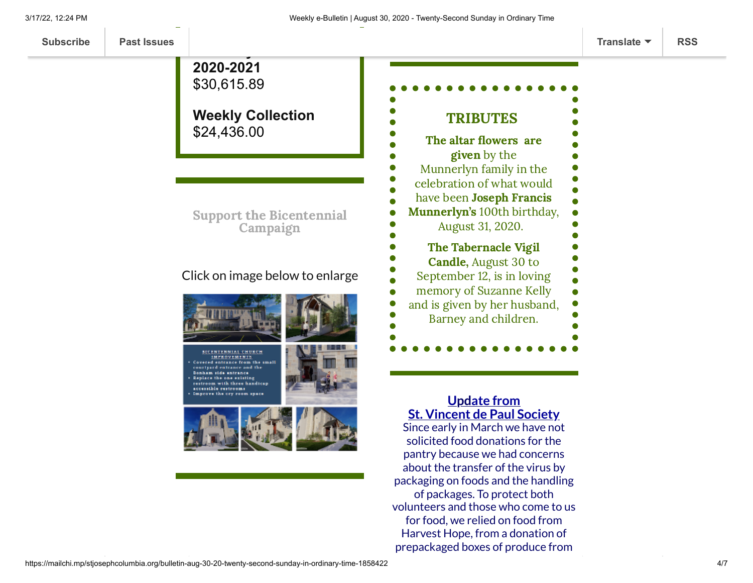**[Subscribe](http://eepurl.com/ded6Lz) [Past Issues](https://us9.campaign-archive.com/home/?u=7399f6b35c8ab775fb1714c3d&id=770b4a80d3) [Translate](javascript:;) [RSS](https://us9.campaign-archive.com/feed?u=7399f6b35c8ab775fb1714c3d&id=770b4a80d3)**

**Weekly Collection** \$24,436.00 Support the [Bicentennial](https://www.stjosephcolumbia.org/bicentennial-campaign) Campaign Click on image below to enlarge **BICENTENNIAL CHURCH IMPROVEMENTS** Covered entrance from the small courtyard entrance and the Bonham side entrance Replace the one existing restroom with three handicap accessible restrooms Improve the cry room ap

**Offertory Goal for**

**2020-2021** \$30,615.89

#### **Update from St. Vincent de Paul Society**

Since early in March we have not solicited food donations for the pantry because we had concerns about the transfer of the virus by packaging on foods and the handling of packages. To protect both volunteers and those who come to us for food, we relied on food from Harvest Hope, from a donation of prepackaged boxes of produce from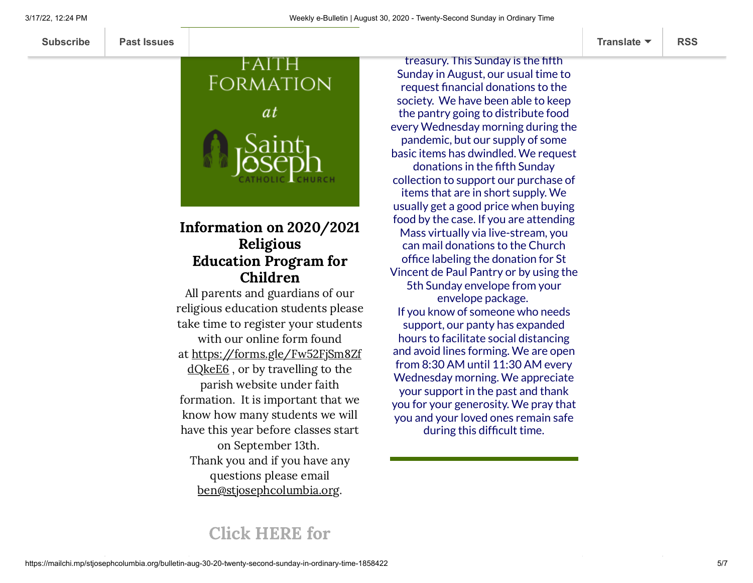# FAITH Formation *at*

### Information on 2020/2021 Religious Education Program for Children

All parents and guardians of our religious education students please take time to register your students with our online form found at [https://forms.gle/Fw52FjSm8Zf](https://forms.gle/Fw52FjSm8ZfdQkeE6) dQkeE6 , or by travelling to the parish website under faith formation. It is important that we know how many students we will have this year before classes start on September 13th. Thank you and if you have any questions please email [b](mailto:Ben@stjosephcolumbia.org)[en@stjosephcolumbia.org.](http://ben@stjosephcolumbia.org/)

treasury. This Sunday is the fifth Sunday in August, our usual time to request financial donations to the society. We have been able to keep the pantry going to distribute food every Wednesday morning during the pandemic, but our supply of some basic items has dwindled. We request donations in the fifth Sunday collection to support our purchase of items that are in short supply. We usually get a good price when buying food by the case. If you are attending Mass virtually via live-stream, you can mail donations to the Church office labeling the donation for St Vincent de Paul Pantry or by using the 5th Sunday envelope from your envelope package. If you know of someone who needs support, our panty has expanded hours to facilitate social distancing and avoid lines forming. We are open from 8:30 AM until 11:30 AM every Wednesday morning. We appreciate your support in the past and thank you for your generosity. We pray that you and your loved ones remain safe during this difficult time.

# Click [HERE](https://www.stjosephcolumbia.org/faith-formation-ccd) for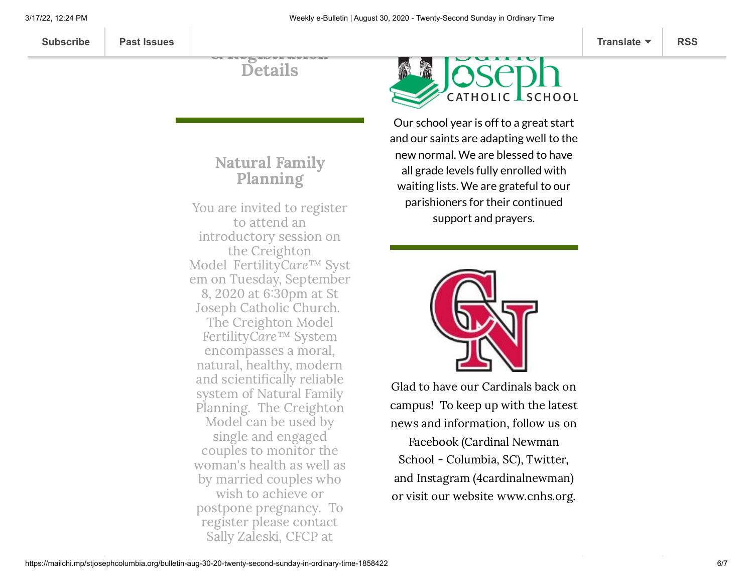Details

 $\omega$  and ladier whereas

## Natural Family Planning

You are invited to register to attend an introductory session on the Creighton Model FertilityCare™ Syst em on Tuesday, September 8, 2020 at 630pm at St Joseph Catholic Church. The Creighton Model FertilityCare™ System encompasses a moral, natural, healthy, modern and scientifically reliable system of Natural Family Planning. The Creighton Model can be used by single and engaged couples to monitor the woman's health as well as by married couples who wish to achieve or postpone pregnancy. To register please contact Sally Zaleski, CFCP at



Our school year is off to a great start and our saints are adapting well to the new normal. We are blessed to have all grade levels fully enrolled with waiting lists. We are grateful to our parishioners for their continued support and prayers.



Glad to have our Cardinals back on campus! To keep up with the latest news and information, follow us on Facebook (Cardinal Newman School - Columbia, SC), Twitter, and Instagram (4cardinalnewman) or visit our website [www.cnhs.org.](http://www.cnhs.org/)